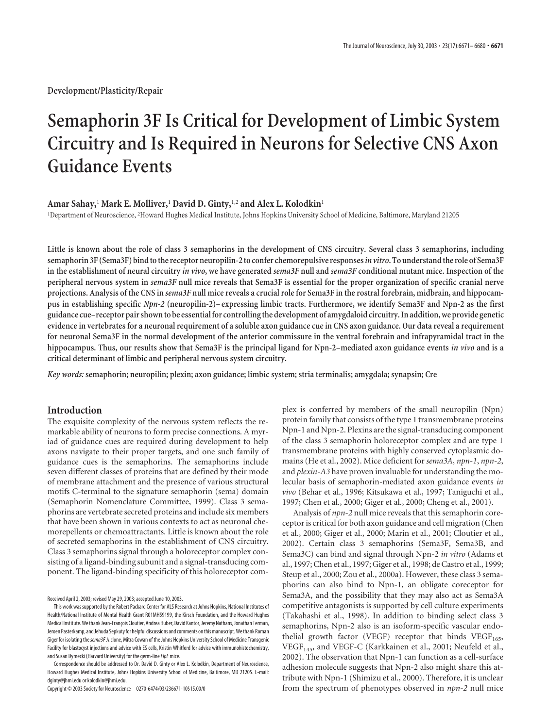**Development/Plasticity/Repair**

# **Semaphorin 3F Is Critical for Development of Limbic System Circuitry and Is Required in Neurons for Selective CNS Axon Guidance Events**

## **Amar Sahay,**<sup>1</sup> **Mark E. Molliver,**<sup>1</sup> **David D. Ginty,**1,2 **and Alex L. Kolodkin**<sup>1</sup>

1 Department of Neuroscience, <sup>2</sup> Howard Hughes Medical Institute, Johns Hopkins University School of Medicine, Baltimore, Maryland 21205

**Little is known about the role of class 3 semaphorins in the development of CNS circuitry. Several class 3 semaphorins, including semaphorin 3F (Sema3F) bind to the receptor neuropilin-2 to confer chemorepulsive responses***in vitro***. To understand the role of Sema3F in the establishment of neural circuitry** *in vivo***, we have generated** *sema3F* **null and** *sema3F* **conditional mutant mice. Inspection of the peripheral nervous system in** *sema3F* **null mice reveals that Sema3F is essential for the proper organization of specific cranial nerve projections. Analysis of the CNS in** *sema3F* **null mice reveals a crucial role for Sema3F in the rostral forebrain, midbrain, and hippocampus in establishing specific** *Npn-2* **(neuropilin-2)– expressing limbic tracts. Furthermore, we identify Sema3F and Npn-2 as the first guidance cue–receptor pair shown to be essential for controlling the development of amygdaloid circuitry. In addition, we provide genetic evidence in vertebrates for a neuronal requirement of a soluble axon guidance cue in CNS axon guidance. Our data reveal a requirement for neuronal Sema3F in the normal development of the anterior commissure in the ventral forebrain and infrapyramidal tract in the hippocampus. Thus, our results show that Sema3F is the principal ligand for Npn-2–mediated axon guidance events** *in vivo* **and is a critical determinant of limbic and peripheral nervous system circuitry.**

*Key words:* **semaphorin; neuropilin; plexin; axon guidance; limbic system; stria terminalis; amygdala; synapsin; Cre**

# **Introduction**

The exquisite complexity of the nervous system reflects the remarkable ability of neurons to form precise connections. A myriad of guidance cues are required during development to help axons navigate to their proper targets, and one such family of guidance cues is the semaphorins. The semaphorins include seven different classes of proteins that are defined by their mode of membrane attachment and the presence of various structural motifs C-terminal to the signature semaphorin (sema) domain (Semaphorin Nomenclature Committee, 1999). Class 3 semaphorins are vertebrate secreted proteins and include six members that have been shown in various contexts to act as neuronal chemorepellents or chemoattractants. Little is known about the role of secreted semaphorins in the establishment of CNS circuitry. Class 3 semaphorins signal through a holoreceptor complex consisting of a ligand-binding subunit and a signal-transducing component. The ligand-binding specificity of this holoreceptor com-

Received April 2, 2003; revised May 29, 2003; accepted June 10, 2003.

Correspondence should be addressed to Dr. David D. Ginty or Alex L. Kolodkin, Department of Neuroscience, Howard Hughes Medical Institute, Johns Hopkins University School of Medicine, Baltimore, MD 21205. E-mail: dginty@jhmi.edu or kolodkin@jhmi.edu.

Copyright © 2003 Society for Neuroscience 0270-6474/03/236671-10\$15.00/0

plex is conferred by members of the small neuropilin (Npn) protein family that consists of the type 1 transmembrane proteins Npn-1 and Npn-2. Plexins are the signal-transducing component of the class 3 semaphorin holoreceptor complex and are type 1 transmembrane proteins with highly conserved cytoplasmic domains (He et al., 2002). Mice deficient for *sema3A*, *npn-1*, *npn-2*, and *plexin-A3* have proven invaluable for understanding the molecular basis of semaphorin-mediated axon guidance events *in vivo* (Behar et al., 1996; Kitsukawa et al., 1997; Taniguchi et al., 1997; Chen et al., 2000; Giger et al., 2000; Cheng et al., 2001).

Analysis of *npn-2* null mice reveals that this semaphorin coreceptor is critical for both axon guidance and cell migration (Chen et al., 2000; Giger et al., 2000; Marin et al., 2001; Cloutier et al., 2002). Certain class 3 semaphorins (Sema3F, Sema3B, and Sema3C) can bind and signal through Npn-2 *in vitro* (Adams et al., 1997; Chen et al., 1997; Giger et al., 1998; de Castro et al., 1999; Steup et al., 2000; Zou et al., 2000a). However, these class 3 semaphorins can also bind to Npn-1, an obligate coreceptor for Sema3A, and the possibility that they may also act as Sema3A competitive antagonists is supported by cell culture experiments (Takahashi et al., 1998). In addition to binding select class 3 semaphorins, Npn-2 also is an isoform-specific vascular endothelial growth factor (VEGF) receptor that binds VEGF<sub>165</sub>, VEGF<sub>145</sub>, and VEGF-C (Karkkainen et al., 2001; Neufeld et al., 2002). The observation that Npn-1 can function as a cell-surface adhesion molecule suggests that Npn-2 also might share this attribute with Npn-1 (Shimizu et al., 2000). Therefore, it is unclear from the spectrum of phenotypes observed in *npn-2* null mice

This work was supported by the Robert Packard Center for ALS Research at Johns Hopkins, National Institutes of Health/National Institute of Mental Health Grant R01MH59199, the Kirsch Foundation, and the Howard Hughes Medical Institute. We thank Jean-François Cloutier, Andrea Huber, David Kantor, Jeremy Nathans, Jonathan Terman, Jeroen Pasterkamp, and Jehuda Sepkuty for helpful discussions and comments on this manuscript. We thank Roman Giger for isolating the *sema3F*  $\lambda$  clone, Mitra Cowan of the Johns Hopkins University School of Medicine Transgenic Facility for blastocyst injections and advice with ES cells, Kristin Whitford for advice with immunohistochemistry, and Susan Dymecki (Harvard University) for the germ-line*FlpE* mice.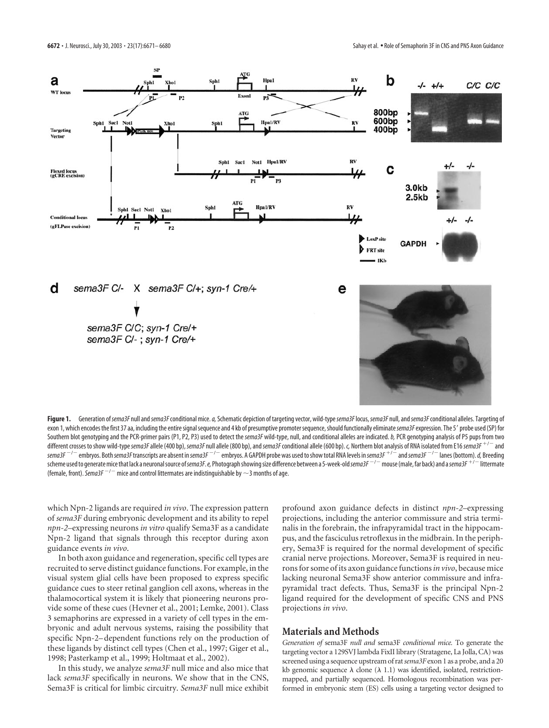

Figure 1. Generation of sema3F null and sema3F conditional mice. a, Schematic depiction of targeting vector, wild-type sema3F locus, sema3F null, and sema3F conditional alleles. Targeting of exon 1, which encodes the first 37 aa, including the entire signal sequence and 4 kb of presumptive promoter sequence, should functionally eliminate sema3F expression. The 5' probe used (SP) for Southern blot genotyping and the PCR-primer pairs (P1, P2, P3) used to detect the sema3F wild-type, null, and conditional alleles are indicated. b, PCR genotyping analysis of P5 pups from two different crosses to show wild-type*sema3F*allele (400 bp), *sema3F* null allele (800 bp), and*sema3F*conditional allele (600 bp). *c,* Northern blot analysis of RNA isolated from E16*sema3F* -/ and *sema3F* / embryos. Both *sema3F*transcripts are absent in *sema3F* / embryos. A GAPDH probe was used to show total RNA levels in *sema3F* -/ and*sema3F* / lanes (bottom).*d,* Breeding scheme used to generate mice that lack a neuronal source of*sema3F*.*e,*Photograph showing size difference between a 5-week-old*sema3F* / mouse (male, far back) and a*sema3F* -/ littermate (female, front). *Sema3F*<sup> $-/-$ </sup> mice and control littermates are indistinguishable by  $\sim$ 3 months of age.

which Npn-2 ligands are required *in vivo*. The expression pattern of *sema3F* during embryonic development and its ability to repel *npn-2–*expressing neurons *in vitro* qualify Sema3F as a candidate Npn-2 ligand that signals through this receptor during axon guidance events *in vivo*.

In both axon guidance and regeneration, specific cell types are recruited to serve distinct guidance functions. For example, in the visual system glial cells have been proposed to express specific guidance cues to steer retinal ganglion cell axons, whereas in the thalamocortical system it is likely that pioneering neurons provide some of these cues (Hevner et al., 2001; Lemke, 2001). Class 3 semaphorins are expressed in a variety of cell types in the embryonic and adult nervous systems, raising the possibility that specific Npn-2– dependent functions rely on the production of these ligands by distinct cell types (Chen et al., 1997; Giger et al., 1998; Pasterkamp et al., 1999; Holtmaat et al., 2002).

In this study, we analyze *sema3F* null mice and also mice that lack *sema3F* specifically in neurons. We show that in the CNS, Sema3F is critical for limbic circuitry. *Sema3F* null mice exhibit

profound axon guidance defects in distinct *npn-2–*expressing projections, including the anterior commissure and stria terminalis in the forebrain, the infrapyramidal tract in the hippocampus, and the fasciculus retroflexus in the midbrain. In the periphery, Sema3F is required for the normal development of specific cranial nerve projections. Moreover, Sema3F is required in neurons for some of its axon guidance functions*in vivo*, because mice lacking neuronal Sema3F show anterior commissure and infrapyramidal tract defects. Thus, Sema3F is the principal Npn-2 ligand required for the development of specific CNS and PNS projections *in vivo*.

## **Materials and Methods**

*Generation of* sema3F *null and* sema3F *conditional mice.* To generate the targeting vector a 129SVJ lambda FixII library (Stratagene, La Jolla, CA) was screened using a sequence upstream of rat*sema3F* exon 1 as a probe, and a 20 kb genomic sequence  $\lambda$  clone ( $\lambda$  1.1) was identified, isolated, restrictionmapped, and partially sequenced. Homologous recombination was performed in embryonic stem (ES) cells using a targeting vector designed to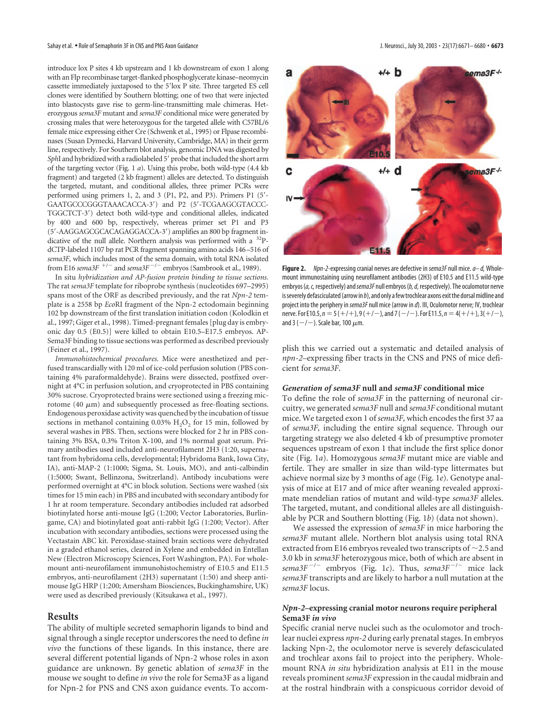introduce lox P sites 4 kb upstream and 1 kb downstream of exon 1 along with an Flp recombinase target-flanked phosphoglycerate kinase–neomycin cassette immediately juxtaposed to the 5'lox P site. Three targeted ES cell clones were identified by Southern blotting; one of two that were injected into blastocysts gave rise to germ-line-transmitting male chimeras. Heterozygous *sema3F* mutant and *sema3F* conditional mice were generated by crossing males that were heterozygous for the targeted allele with C57BL/6 female mice expressing either Cre (Schwenk et al., 1995) or Flpase recombinases (Susan Dymecki, Harvard University, Cambridge, MA) in their germ line, respectively. For Southern blot analysis, genomic DNA was digested by *SphI* and hybridized with a radiolabeled 5' probe that included the short arm of the targeting vector (Fig. 1 *a*). Using this probe, both wild-type (4.4 kb fragment) and targeted (2 kb fragment) alleles are detected. To distinguish the targeted, mutant, and conditional alleles, three primer PCRs were performed using primers 1, 2, and 3 (P1, P2, and P3). Primers P1 (5'-GAATGCCCGGGTAAACACCA-3) and P2 (5-TCGAAGCGTACCC-TGGCTCT-3) detect both wild-type and conditional alleles, indicated by 400 and 600 bp, respectively, whereas primer set P1 and P3 (5-AAGGAGCGCACAGAGGACCA-3) amplifies an 800 bp fragment indicative of the null allele. Northern analysis was performed with a <sup>32</sup>PdCTP-labeled 1107 bp rat PCR fragment spanning amino acids 146–516 of *sema3F,* which includes most of the sema domain, with total RNA isolated from E16 *sema3F*<sup>+/-</sup> and *sema3F<sup>-/-</sup>* embryos (Sambrook et al., 1989).

In situ *hybridization and AP-fusion protein binding to tissue sections.* The rat *sema3F* template for riboprobe synthesis (nucleotides 697–2995) spans most of the ORF as described previously, and the rat *Npn-2* template is a 2558 bp *Eco*RI fragment of the Npn-2 ectodomain beginning 102 bp downstream of the first translation initiation codon (Kolodkin et al., 1997; Giger et al., 1998). Timed-pregnant females [plug day is embryonic day 0.5 (E0.5)] were killed to obtain E10.5–E17.5 embryos. AP-Sema3F binding to tissue sections was performed as described previously (Feiner et al., 1997).

*Immunohistochemical procedures.* Mice were anesthetized and perfused transcardially with 120 ml of ice-cold perfusion solution (PBS containing 4% paraformaldehyde). Brains were dissected, postfixed overnight at 4°C in perfusion solution, and cryoprotected in PBS containing 30% sucrose. Cryoprotected brains were sectioned using a freezing microtome  $(40 \mu m)$  and subsequently processed as free-floating sections. Endogenous peroxidase activity was quenched by the incubation of tissue sections in methanol containing  $0.03\%$  H<sub>2</sub>O<sub>2</sub> for 15 min, followed by several washes in PBS. Then, sections were blocked for 2 hr in PBS containing 3% BSA, 0.3% Triton X-100, and 1% normal goat serum. Primary antibodies used included anti-neurofilament 2H3 (1:20, supernatant from hybridoma cells, developmental; Hybridoma Bank, Iowa City, IA), anti-MAP-2 (1:1000; Sigma, St. Louis, MO), and anti-calbindin (1:5000; Swant, Bellinzona, Switzerland). Antibody incubations were performed overnight at 4°C in block solution. Sections were washed (six times for 15 min each) in PBS and incubated with secondary antibody for 1 hr at room temperature. Secondary antibodies included rat adsorbed biotinylated horse anti-mouse IgG (1:200; Vector Laboratories, Burlingame, CA) and biotinylated goat anti-rabbit IgG (1:200; Vector). After incubation with secondary antibodies, sections were processed using the Vectastain ABC kit. Peroxidase-stained brain sections were dehydrated in a graded ethanol series, cleared in Xylene and embedded in Entellan New (Electron Microscopy Sciences, Fort Washington, PA). For wholemount anti-neurofilament immunohistochemistry of E10.5 and E11.5 embryos, anti-neurofilament (2H3) supernatant (1:50) and sheep antimouse IgG HRP (1:200; Amersham Biosciences, Buckinghamshire, UK) were used as described previously (Kitsukawa et al., 1997).

# **Results**

The ability of multiple secreted semaphorin ligands to bind and signal through a single receptor underscores the need to define *in vivo* the functions of these ligands. In this instance, there are several different potential ligands of Npn-2 whose roles in axon guidance are unknown. By genetic ablation of *sema3F* in the mouse we sought to define *in vivo* the role for Sema3F as a ligand for Npn-2 for PNS and CNS axon guidance events. To accom-



**Figure 2.** *Npn-2*-expressing cranial nerves are defective in *sema3F* null mice.*a– d,* Wholemount immunostaining using neurofilament antibodies (2H3) of E10.5 and E11.5 wild-type embryos (*a, c,* respectively) and*sema3F* null embryos (*b, d,* respectively). The oculomotor nerve is severely defasciculated (arrow in *b*), and only a few trochlear axons exit the dorsal midline and project into the periphery in *sema3F* null mice (arrow in *d*). III, Oculomotor nerve; IV, trochlear nerve. For E10.5, *n* = 5 (+/+), 9 (+/-), and 7 (-/-). For E11.5, *n* = 4(+/+), 3(+/-), and 3 (  $-$  /  $-$  ). Scale bar, 100  $\mu$ m.

plish this we carried out a systematic and detailed analysis of *npn-2–*expressing fiber tracts in the CNS and PNS of mice deficient for *sema3F*.

## *Generation of sema3F* **null and** *sema3F* **conditional mice**

To define the role of *sema3F* in the patterning of neuronal circuitry, we generated *sema3F* null and *sema3F* conditional mutant mice. We targeted exon 1 of *sema3F,* which encodes the first 37 aa of *sema3F,* including the entire signal sequence. Through our targeting strategy we also deleted 4 kb of presumptive promoter sequences upstream of exon 1 that include the first splice donor site (Fig. 1*a*). Homozygous *sema3F* mutant mice are viable and fertile. They are smaller in size than wild-type littermates but achieve normal size by 3 months of age (Fig. 1*e*). Genotype analysis of mice at E17 and of mice after weaning revealed approximate mendelian ratios of mutant and wild-type *sema3F* alleles. The targeted, mutant, and conditional alleles are all distinguishable by PCR and Southern blotting (Fig. 1*b*) (data not shown).

We assessed the expression of *sema3F* in mice harboring the *sema3F* mutant allele. Northern blot analysis using total RNA extracted from E16 embryos revealed two transcripts of  $\sim$  2.5 and 3.0 kb in *sema3F* heterozygous mice, both of which are absent in  $sema3F^{-/-}$  embryos (Fig. 1*c*). Thus,  $sema3F^{-/-}$  mice lack *sema3F* transcripts and are likely to harbor a null mutation at the *sema3F* locus.

## *Npn-2–***expressing cranial motor neurons require peripheral Sema3F** *in vivo*

Specific cranial nerve nuclei such as the oculomotor and trochlear nuclei express *npn-2* during early prenatal stages. In embryos lacking Npn-2, the oculomotor nerve is severely defasciculated and trochlear axons fail to project into the periphery. Wholemount RNA *in situ* hybridization analysis at E11 in the mouse reveals prominent *sema3F* expression in the caudal midbrain and at the rostral hindbrain with a conspicuous corridor devoid of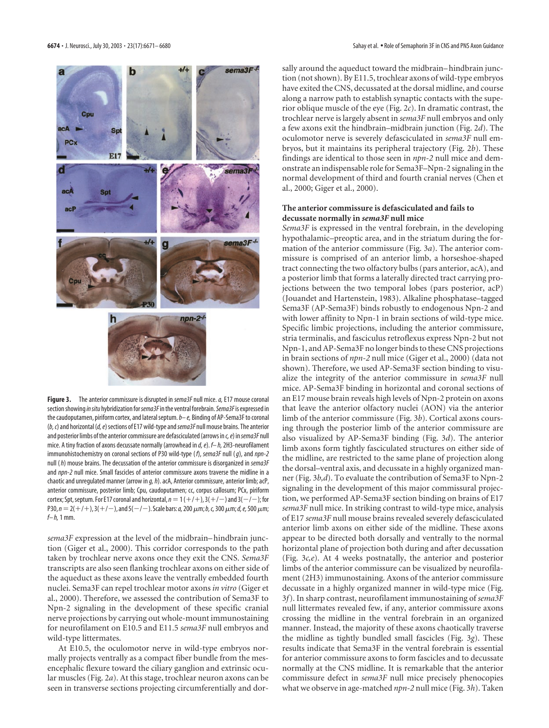

**Figure 3.** The anterior commissure is disrupted in *sema3F* null mice.*a,* E17 mouse coronal section showing*in situ* hybridization for*sema3F*in the ventral forebrain.*Sema3F*is expressed in the caudoputamen, piriform cortex, and lateral septum.*b– e,* Binding of AP-Sema3F to coronal (*b, c*) and horizontal (*d, e*) sections of E17 wild-type and*sema3F* null mouse brains. The anterior and posterior limbs of the anterior commissure are defasciculated (arrows in *c, e*) in *sema3F* null mice. A tiny fraction of axons decussate normally (arrowhead in *d, e*). *f– h,*2H3-neurofilament immunohistochemistry on coronal sections of P30 wild-type (*f*), *sema3F* null (*g*), and *npn-2* null (*h*) mouse brains. The decussation of the anterior commissure is disorganized in *sema3F* and *npn-2* null mice. Small fascicles of anterior commissure axons traverse the midline in a chaotic and unregulated manner (arrow in *g, h*). acA, Anterior commissure, anterior limb; acP, anterior commissure, posterior limb; Cpu, caudoputamen; cc, corpus callosum; PCx, piriform cortex; Spt, septum. For E17 coronal and horizontal,  $n = 1$  (  $+$  /  $+$  ), 3(  $+$  /  $-$  ) and 3(  $-$  /  $-$  ); for P30,  $n = 2(+/+)$ , 3(+/ $-$ ), and 5( $-/-$ ). Scale bars: *a*, 200  $\mu$ m; *b*, *c*, 300  $\mu$ m; *d, e,* 500  $\mu$ m; *f– h,*1 mm.

*sema3F* expression at the level of the midbrain–hindbrain junction (Giger et al., 2000). This corridor corresponds to the path taken by trochlear nerve axons once they exit the CNS. *Sema3F* transcripts are also seen flanking trochlear axons on either side of the aqueduct as these axons leave the ventrally embedded fourth nuclei. Sema3F can repel trochlear motor axons *in vitro* (Giger et al., 2000). Therefore, we assessed the contribution of Sema3F to Npn-2 signaling in the development of these specific cranial nerve projections by carrying out whole-mount immunostaining for neurofilament on E10.5 and E11.5 *sema3F* null embryos and wild-type littermates.

At E10.5, the oculomotor nerve in wild-type embryos normally projects ventrally as a compact fiber bundle from the mesencephalic flexure toward the ciliary ganglion and extrinsic ocular muscles (Fig. 2*a*). At this stage, trochlear neuron axons can be seen in transverse sections projecting circumferentially and dorsally around the aqueduct toward the midbrain–hindbrain junction (not shown). By E11.5, trochlear axons of wild-type embryos have exited the CNS, decussated at the dorsal midline, and course along a narrow path to establish synaptic contacts with the superior oblique muscle of the eye (Fig. 2*c*). In dramatic contrast, the trochlear nerve is largely absent in *sema3F* null embryos and only a few axons exit the hindbrain–midbrain junction (Fig. 2*d*). The oculomotor nerve is severely defasciculated in *sema3F* null embryos, but it maintains its peripheral trajectory (Fig. 2*b*). These findings are identical to those seen in *npn-2* null mice and demonstrate an indispensable role for Sema3F–Npn-2 signaling in the normal development of third and fourth cranial nerves (Chen et al., 2000; Giger et al., 2000).

# **The anterior commissure is defasciculated and fails to decussate normally in** *sema3F* **null mice**

*Sema3F* is expressed in the ventral forebrain, in the developing hypothalamic–preoptic area, and in the striatum during the formation of the anterior commissure (Fig. 3*a*). The anterior commissure is comprised of an anterior limb, a horseshoe-shaped tract connecting the two olfactory bulbs (pars anterior, acA), and a posterior limb that forms a laterally directed tract carrying projections between the two temporal lobes (pars posterior, acP) (Jouandet and Hartenstein, 1983). Alkaline phosphatase–tagged Sema3F (AP-Sema3F) binds robustly to endogenous Npn-2 and with lower affinity to Npn-1 in brain sections of wild-type mice. Specific limbic projections, including the anterior commissure, stria terminalis, and fasciculus retroflexus express Npn-2 but not Npn-1, and AP-Sema3F no longer binds to these CNS projections in brain sections of *npn-2* null mice (Giger et al., 2000) (data not shown). Therefore, we used AP-Sema3F section binding to visualize the integrity of the anterior commissure in *sema3F* null mice. AP-Sema3F binding in horizontal and coronal sections of an E17 mouse brain reveals high levels of Npn-2 protein on axons that leave the anterior olfactory nuclei (AON) via the anterior limb of the anterior commissure (Fig. 3*b*). Cortical axons coursing through the posterior limb of the anterior commissure are also visualized by AP-Sema3F binding (Fig. 3*d*). The anterior limb axons form tightly fasciculated structures on either side of the midline, are restricted to the same plane of projection along the dorsal–ventral axis, and decussate in a highly organized manner (Fig. 3*b,d*). To evaluate the contribution of Sema3F to Npn-2 signaling in the development of this major commissural projection, we performed AP-Sema3F section binding on brains of E17 *sema3F* null mice. In striking contrast to wild-type mice, analysis of E17 *sema3F* null mouse brains revealed severely defasciculated anterior limb axons on either side of the midline. These axons appear to be directed both dorsally and ventrally to the normal horizontal plane of projection both during and after decussation (Fig. 3*c,e*). At 4 weeks postnatally, the anterior and posterior limbs of the anterior commissure can be visualized by neurofilament (2H3) immunostaining. Axons of the anterior commissure decussate in a highly organized manner in wild-type mice (Fig. 3*f*). In sharp contrast, neurofilament immunostaining of *sema3F* null littermates revealed few, if any, anterior commissure axons crossing the midline in the ventral forebrain in an organized manner. Instead, the majority of these axons chaotically traverse the midline as tightly bundled small fascicles (Fig. 3*g*). These results indicate that Sema3F in the ventral forebrain is essential for anterior commissure axons to form fascicles and to decussate normally at the CNS midline. It is remarkable that the anterior commissure defect in *sema3F* null mice precisely phenocopies what we observe in age-matched *npn-2* null mice (Fig. 3*h*). Taken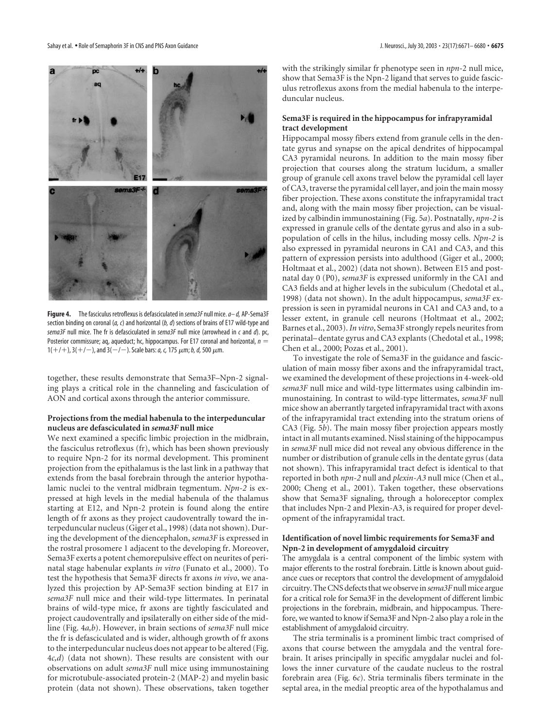

**Figure 4.** The fasciculus retroflexus is defasciculated in *sema3F* null mice.*a– d,* AP-Sema3F section binding on coronal (*a, c*) and horizontal (*b, d*) sections of brains of E17 wild-type and *sema3F* null mice. The fr is defasciculated in *sema3F* null mice (arrowhead in *c* and *d*). pc, Posterior commissure; aq, aqueduct; hc, hippocampus. For E17 coronal and horizontal, *n*  $1(+/+)$ ,  $3(+/-)$ , and  $3(-/-)$ . Scale bars: *a*, *c*, 175  $\mu$ m; *b*, *d*, 500  $\mu$ m.

together, these results demonstrate that Sema3F–Npn-2 signaling plays a critical role in the channeling and fasciculation of AON and cortical axons through the anterior commissure.

## **Projections from the medial habenula to the interpeduncular nucleus are defasciculated in** *sema3F* **null mice**

We next examined a specific limbic projection in the midbrain, the fasciculus retroflexus (fr), which has been shown previously to require Npn-2 for its normal development. This prominent projection from the epithalamus is the last link in a pathway that extends from the basal forebrain through the anterior hypothalamic nuclei to the ventral midbrain tegmentum. *Npn-2* is expressed at high levels in the medial habenula of the thalamus starting at E12, and Npn-2 protein is found along the entire length of fr axons as they project caudoventrally toward the interpeduncular nucleus (Giger et al., 1998) (data not shown). During the development of the diencephalon, *sema3F* is expressed in the rostral prosomere 1 adjacent to the developing fr. Moreover, Sema3F exerts a potent chemorepulsive effect on neurites of perinatal stage habenular explants *in vitro* (Funato et al., 2000). To test the hypothesis that Sema3F directs fr axons *in vivo*, we analyzed this projection by AP-Sema3F section binding at E17 in *sema3F* null mice and their wild-type littermates. In perinatal brains of wild-type mice, fr axons are tightly fasciculated and project caudoventrally and ipsilaterally on either side of the midline (Fig. 4*a,b*). However, in brain sections of *sema3F* null mice the fr is defasciculated and is wider, although growth of fr axons to the interpeduncular nucleus does not appear to be altered (Fig. 4*c,d*) (data not shown). These results are consistent with our observations on adult *sema3F* null mice using immunostaining for microtubule-associated protein-2 (MAP-2) and myelin basic protein (data not shown). These observations, taken together

with the strikingly similar fr phenotype seen in *npn*-2 null mice, show that Sema3F is the Npn-2 ligand that serves to guide fasciculus retroflexus axons from the medial habenula to the interpeduncular nucleus.

# **Sema3F is required in the hippocampus for infrapyramidal tract development**

Hippocampal mossy fibers extend from granule cells in the dentate gyrus and synapse on the apical dendrites of hippocampal CA3 pyramidal neurons. In addition to the main mossy fiber projection that courses along the stratum lucidum, a smaller group of granule cell axons travel below the pyramidal cell layer of CA3, traverse the pyramidal cell layer, and join the main mossy fiber projection. These axons constitute the infrapyramidal tract and, along with the main mossy fiber projection, can be visualized by calbindin immunostaining (Fig. 5*a*). Postnatally, *npn-2* is expressed in granule cells of the dentate gyrus and also in a subpopulation of cells in the hilus, including mossy cells. *Npn-2* is also expressed in pyramidal neurons in CA1 and CA3, and this pattern of expression persists into adulthood (Giger et al., 2000; Holtmaat et al., 2002) (data not shown). Between E15 and postnatal day 0 (P0), *sema3F* is expressed uniformly in the CA1 and CA3 fields and at higher levels in the subiculum (Chedotal et al., 1998) (data not shown). In the adult hippocampus, *sema3F* expression is seen in pyramidal neurons in CA1 and CA3 and, to a lesser extent, in granule cell neurons (Holtmaat et al., 2002; Barnes et al., 2003).*In vitro*, Sema3F strongly repels neurites from perinatal–dentate gyrus and CA3 explants (Chedotal et al., 1998; Chen et al., 2000; Pozas et al., 2001).

To investigate the role of Sema3F in the guidance and fasciculation of main mossy fiber axons and the infrapyramidal tract, we examined the development of these projections in 4-week-old *sema3F* null mice and wild-type littermates using calbindin immunostaining. In contrast to wild-type littermates, *sema3F* null mice show an aberrantly targeted infrapyramidal tract with axons of the infrapyramidal tract extending into the stratum oriens of CA3 (Fig. 5*b*). The main mossy fiber projection appears mostly intact in all mutants examined. Nissl staining of the hippocampus in *sema3F* null mice did not reveal any obvious difference in the number or distribution of granule cells in the dentate gyrus (data not shown). This infrapyramidal tract defect is identical to that reported in both *npn-2* null and *plexin-A3* null mice (Chen et al., 2000; Cheng et al., 2001). Taken together, these observations show that Sema3F signaling, through a holoreceptor complex that includes Npn-2 and Plexin-A3, is required for proper development of the infrapyramidal tract.

## **Identification of novel limbic requirements for Sema3F and Npn-2 in development of amygdaloid circuitry**

The amygdala is a central component of the limbic system with major efferents to the rostral forebrain. Little is known about guidance cues or receptors that control the development of amygdaloid circuitry. The CNS defects that we observe in*sema3F*null mice argue for a critical role for Sema3F in the development of different limbic projections in the forebrain, midbrain, and hippocampus. Therefore, we wanted to know if Sema3F and Npn-2 also play a role in the establishment of amygdaloid circuitry.

The stria terminalis is a prominent limbic tract comprised of axons that course between the amygdala and the ventral forebrain. It arises principally in specific amygdalar nuclei and follows the inner curvature of the caudate nucleus to the rostral forebrain area (Fig. 6*c*). Stria terminalis fibers terminate in the septal area, in the medial preoptic area of the hypothalamus and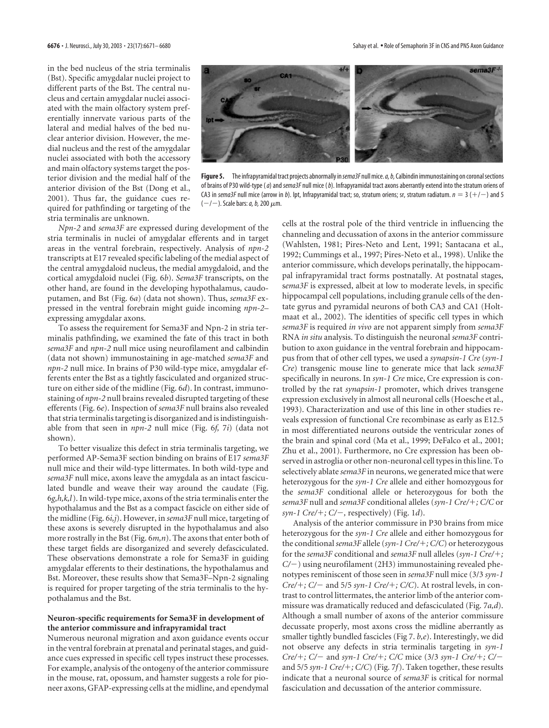in the bed nucleus of the stria terminalis (Bst). Specific amygdalar nuclei project to different parts of the Bst. The central nucleus and certain amygdalar nuclei associated with the main olfactory system preferentially innervate various parts of the lateral and medial halves of the bed nuclear anterior division. However, the medial nucleus and the rest of the amygdalar nuclei associated with both the accessory and main olfactory systems target the posterior division and the medial half of the anterior division of the Bst (Dong et al., 2001). Thus far, the guidance cues required for pathfinding or targeting of the stria terminalis are unknown.



**Figure 5.** The infrapyramidal tract projects abnormally in *sema3F* null mice.*a, b,*Calbindin immunostaining on coronal sections of brains of P30 wild-type (*a*) and*sema3F* null mice (*b*). Infrapyramidal tract axons aberrantly extend into the stratum oriens of CA3 in sema3F null mice (arrow in b). Ipt, Infrapyramidal tract; so, stratum oriens; sr, stratum radiatum.  $n = 3 (+/-)$  and 5 (-/-). Scale bars: *a*, *b*, 200  $\mu$ m.

*Npn-2* and *sema3F* are expressed during development of the stria terminalis in nuclei of amygdalar efferents and in target areas in the ventral forebrain, respectively. Analysis of *npn-2* transcripts at E17 revealed specific labeling of the medial aspect of the central amygdaloid nucleus, the medial amygdaloid, and the cortical amygdaloid nuclei (Fig. 6*b*). *Sema3F* transcripts, on the other hand, are found in the developing hypothalamus, caudoputamen, and Bst (Fig. 6*a*) (data not shown). Thus, *sema3F* expressed in the ventral forebrain might guide incoming *npn-2–* expressing amygdalar axons.

To assess the requirement for Sema3F and Npn-2 in stria terminalis pathfinding, we examined the fate of this tract in both *sema3F* and *npn-2* null mice using neurofilament and calbindin (data not shown) immunostaining in age-matched *sema3F* and *npn-2* null mice. In brains of P30 wild-type mice, amygdalar efferents enter the Bst as a tightly fasciculated and organized structure on either side of the midline (Fig. 6*d*). In contrast, immunostaining of *npn-2* null brains revealed disrupted targeting of these efferents (Fig. 6*e*). Inspection of *sema3F* null brains also revealed that stria terminalis targeting is disorganized and is indistinguishable from that seen in *npn-2* null mice (Fig. 6*f,* 7*i*) (data not shown).

To better visualize this defect in stria terminalis targeting, we performed AP-Sema3F section binding on brains of E17 *sema3F* null mice and their wild-type littermates. In both wild-type and *sema3F* null mice, axons leave the amygdala as an intact fasciculated bundle and weave their way around the caudate (Fig. 6*g,h,k,l*). In wild-type mice, axons of the stria terminalis enter the hypothalamus and the Bst as a compact fascicle on either side of the midline (Fig. 6*i,j*). However, in *sema3F* null mice, targeting of these axons is severely disrupted in the hypothalamus and also more rostrally in the Bst (Fig. 6*m,n*). The axons that enter both of these target fields are disorganized and severely defasciculated. These observations demonstrate a role for Sema3F in guiding amygdalar efferents to their destinations, the hypothalamus and Bst. Moreover, these results show that Sema3F–Npn-2 signaling is required for proper targeting of the stria terminalis to the hypothalamus and the Bst.

#### **Neuron-specific requirements for Sema3F in development of the anterior commissure and infrapyramidal tract**

Numerous neuronal migration and axon guidance events occur in the ventral forebrain at prenatal and perinatal stages, and guidance cues expressed in specific cell types instruct these processes. For example, analysis of the ontogeny of the anterior commissure in the mouse, rat, opossum, and hamster suggests a role for pioneer axons, GFAP-expressing cells at the midline, and ependymal

cells at the rostral pole of the third ventricle in influencing the channeling and decussation of axons in the anterior commissure (Wahlsten, 1981; Pires-Neto and Lent, 1991; Santacana et al., 1992; Cummings et al., 1997; Pires-Neto et al., 1998). Unlike the anterior commissure, which develops perinatally, the hippocampal infrapyramidal tract forms postnatally. At postnatal stages, s*ema3F* is expressed, albeit at low to moderate levels, in specific hippocampal cell populations, including granule cells of the dentate gyrus and pyramidal neurons of both CA3 and CA1 (Holtmaat et al., 2002). The identities of specific cell types in which *sema3F* is required *in vivo* are not apparent simply from *sema3F* RNA *in situ* analysis. To distinguish the neuronal *sema3F* contribution to axon guidance in the ventral forebrain and hippocampus from that of other cell types, we used a *synapsin-1 Cre* (*syn-1 Cre*) transgenic mouse line to generate mice that lack *sema3F* specifically in neurons. In *syn-1 Cre* mice, Cre expression is controlled by the rat *synapsin-1* promoter, which drives transgene expression exclusively in almost all neuronal cells (Hoesche et al., 1993). Characterization and use of this line in other studies reveals expression of functional Cre recombinase as early as E12.5 in most differentiated neurons outside the ventricular zones of the brain and spinal cord (Ma et al., 1999; DeFalco et al., 2001; Zhu et al., 2001). Furthermore, no Cre expression has been observed in astroglia or other non-neuronal cell types in this line. To selectively ablate *sema3F* in neurons, we generated mice that were heterozygous for the *syn-1 Cre* allele and either homozygous for the *sema3F* conditional allele or heterozygous for both the *sema3F* null and *sema3F* conditional alleles (*syn-1 Cre/*-*; C/C* or *syn-1 Cre/*-*; C/,* respectively) (Fig. 1*d*).

Analysis of the anterior commissure in P30 brains from mice heterozygous for the *syn-1 Cre* allele and either homozygous for the conditional *sema3F* allele (*syn-1 Cre/*-*; C/C*) or heterozygous for the *sema3F* conditional and *sema3F* null alleles (*syn-1 Cre/*-*; C/-*) using neurofilament (2H3) immunostaining revealed phenotypes reminiscent of those seen in *sema3F* null mice (3/3 *syn-1 Cre/*-*; C/* and 5/5 *syn-1 Cre/*-*; C/C*). At rostral levels, in contrast to control littermates, the anterior limb of the anterior commissure was dramatically reduced and defasciculated (Fig. 7*a,d*). Although a small number of axons of the anterior commissure decussate properly, most axons cross the midline aberrantly as smaller tightly bundled fascicles (Fig 7. *b,e*). Interestingly, we did not observe any defects in stria terminalis targeting in *syn-1 Cre/*-*; C/* and *syn-1 Cre/*-*; C/C* mice (3/3 *syn-1 Cre/*-*; C/* and 5/5 syn-1 Cre/+; C/C) (Fig. 7f). Taken together, these results indicate that a neuronal source of *sema3F* is critical for normal fasciculation and decussation of the anterior commissure.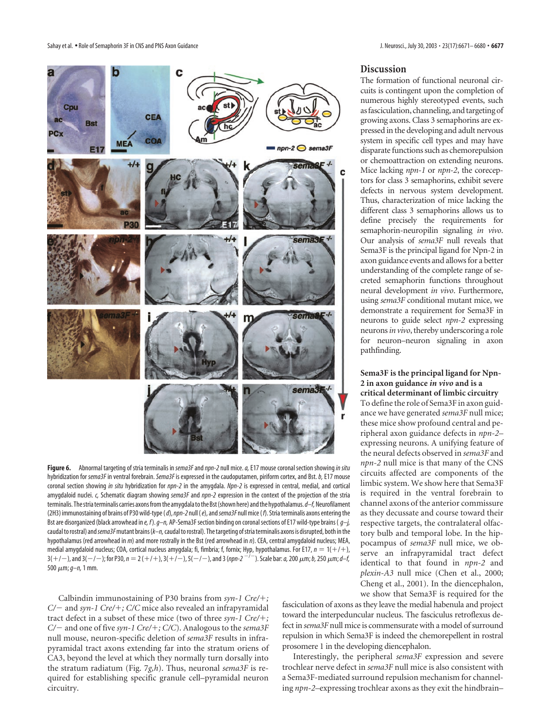Sahay et al. • Role of Semaphorin 3F in CNS and PNS Axon Guidance **J. New September 2006** • Capital and PNS Axon Guidance J. New September 2008 • 23(17):6671– 6680 • 6**677** 



The formation of functional neuronal cir-

**Discussion**

cuits is contingent upon the completion of numerous highly stereotyped events, such as fasciculation, channeling, and targeting of growing axons. Class 3 semaphorins are expressed in the developing and adult nervous system in specific cell types and may have disparate functions such as chemorepulsion or chemoattraction on extending neurons. Mice lacking *npn-1* or *npn-2*, the coreceptors for class 3 semaphorins, exhibit severe defects in nervous system development. Thus, characterization of mice lacking the different class 3 semaphorins allows us to define precisely the requirements for semaphorin-neuropilin signaling *in vivo*. Our analysis of *sema3F* null reveals that Sema3F is the principal ligand for Npn-2 in axon guidance events and allows for a better understanding of the complete range of secreted semaphorin functions throughout neural development *in vivo*. Furthermore, using *sema3F* conditional mutant mice, we demonstrate a requirement for Sema3F in neurons to guide select *npn-2* expressing neurons*in vivo*, thereby underscoring a role for neuron–neuron signaling in axon pathfinding.

## **Sema3F is the principal ligand for Npn-2 in axon guidance** *in vivo* **and is a critical determinant of limbic circuitry**

To define the role of Sema3F in axon guidance we have generated *sema3F* null mice; these mice show profound central and peripheral axon guidance defects in *npn-2–* expressing neurons. A unifying feature of the neural defects observed in *sema3F* and *npn-2* null mice is that many of the CNS circuits affected are components of the limbic system. We show here that Sema3F is required in the ventral forebrain to channel axons of the anterior commissure as they decussate and course toward their respective targets, the contralateral olfactory bulb and temporal lobe. In the hippocampus of *sema3F* null mice, we observe an infrapyramidal tract defect identical to that found in *npn-2* and *plexin-A3* null mice (Chen et al., 2000; Cheng et al., 2001). In the diencephalon, we show that Sema3F is required for the

**Figure 6.** Abnormal targeting of stria terminalis in *sema3F*and*npn-2* null mice.*a,*E17 mouse coronal section showing*in situ* hybridization for *sema3F* in ventral forebrain. *Sema3F* is expressed in the caudoputamen, piriform cortex, and Bst.*b,*E17 mouse coronal section showing *in situ* hybridization for *npn-2* in the amygdala. *Npn-2* is expressed in central, medial, and cortical amygdaloid nuclei. *c,* Schematic diagram showing *sema3F* and *npn-2* expression in the context of the projection of the stria terminalis. The stria terminalis carries axons from the amygdala to the Bst (shown here) and the hypothalamus.  $d$ –f, Neurofilament (2H3) immunostaining of brains of P30 wild-type (*d*),*npn-2* null (*e*), and*sema3F* null mice (*f*). Stria terminalis axons entering the Bst are disorganized (black arrowhead in *e, f*).*g–n,* AP-Sema3F section binding on coronal sections of E17 wild-type brains ( *g–j,* caudal to rostral) and*sema3F*mutant brains (*k–n,*caudal to rostral). The targeting of stria terminalis axons is disrupted, both in the hypothalamus (red arrowhead in *m*) and more rostrally in the Bst (red arrowhead in *n*). CEA, central amygdaloid nucleus; MEA, medial amygdaloid nucleus; COA, cortical nucleus amygdala; fi, fimbria; f, fornix; Hyp, hypothalamus. For E17,  $n=1(+/+)$ ,  $3(+/-)$ , and  $3(-/-)$ ; for P30,  $n = 2(+/+)$ ,  $3(+/-)$ ,  $5(-/-)$ , and 3 (npn-2<sup>-/-</sup>). Scale bar: a, 200  $\mu$ m; b, 250  $\mu$ m; d–f, 500-m;*g–n,*1 mm.

Calbindin immunostaining of P30 brains from *syn-1 Cre/*-*; C/* and *syn-1 Cre/*-*; C/C* mice also revealed an infrapyramidal tract defect in a subset of these mice (two of three *syn-1 Cre/*-*; C/* and one of five *syn-1 Cre/*-*; C/C*). Analogous to the *sema3F* null mouse, neuron-specific deletion of *sema3F* results in infrapyramidal tract axons extending far into the stratum oriens of CA3, beyond the level at which they normally turn dorsally into the stratum radiatum (Fig. 7*g,h*). Thus, neuronal *sema3F* is required for establishing specific granule cell–pyramidal neuron circuitry.

fasciculation of axons as they leave the medial habenula and project toward the interpeduncular nucleus. The fasciculus retroflexus defect in *sema3F* null mice is commensurate with a model of surround repulsion in which Sema3F is indeed the chemorepellent in rostral prosomere 1 in the developing diencephalon.

Interestingly, the peripheral *sema3F* expression and severe trochlear nerve defect in *sema3F* null mice is also consistent with a Sema3F-mediated surround repulsion mechanism for channeling *npn-2–*expressing trochlear axons as they exit the hindbrain–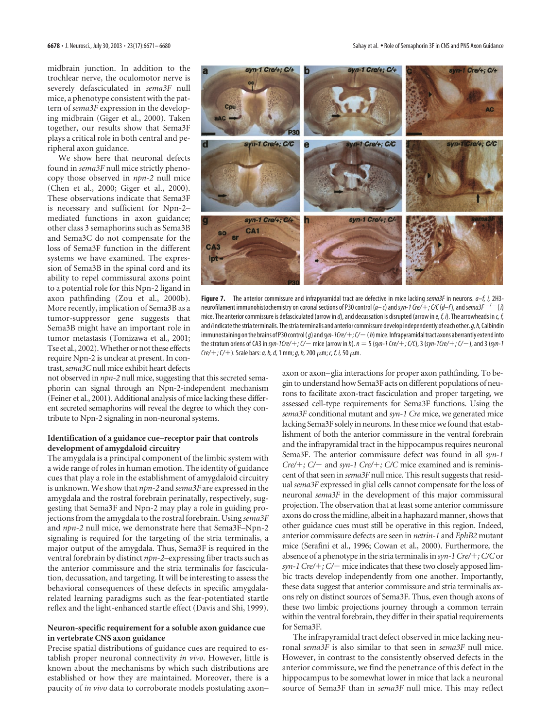midbrain junction. In addition to the trochlear nerve, the oculomotor nerve is severely defasciculated in *sema3F* null mice, a phenotype consistent with the pattern of *sema3F* expression in the developing midbrain (Giger et al., 2000). Taken together, our results show that Sema3F plays a critical role in both central and peripheral axon guidance.

We show here that neuronal defects found in *sema3F* null mice strictly phenocopy those observed in *npn-2* null mice (Chen et al., 2000; Giger et al., 2000). These observations indicate that Sema3F is necessary and sufficient for Npn-2– mediated functions in axon guidance; other class 3 semaphorins such as Sema3B and Sema3C do not compensate for the loss of Sema3F function in the different systems we have examined. The expression of Sema3B in the spinal cord and its ability to repel commissural axons point to a potential role for this Npn-2 ligand in axon pathfinding (Zou et al., 2000b). More recently, implication of Sema3B as a tumor-suppressor gene suggests that Sema3B might have an important role in tumor metastasis (Tomizawa et al., 2001; Tse et al., 2002). Whether or not these effects require Npn-2 is unclear at present. In contrast, *sema3C* null mice exhibit heart defects

not observed in *npn-2* null mice, suggesting that this secreted semaphorin can signal through an Npn-2-independent mechanism (Feiner et al., 2001). Additional analysis of mice lacking these different secreted semaphorins will reveal the degree to which they contribute to Npn-2 signaling in non-neuronal systems.

## **Identification of a guidance cue–receptor pair that controls development of amygdaloid circuitry**

The amygdala is a principal component of the limbic system with a wide range of roles in human emotion. The identity of guidance cues that play a role in the establishment of amygdaloid circuitry is unknown. We show that *npn-2* and *sema3F* are expressed in the amygdala and the rostral forebrain perinatally, respectively, suggesting that Sema3F and Npn-2 may play a role in guiding projections from the amygdala to the rostral forebrain. Using *sema3F* and *npn-2* null mice, we demonstrate here that Sema3F–Npn-2 signaling is required for the targeting of the stria terminalis, a major output of the amygdala. Thus, Sema3F is required in the ventral forebrain by distinct *npn-2–*expressing fiber tracts such as the anterior commissure and the stria terminalis for fasciculation, decussation, and targeting. It will be interesting to assess the behavioral consequences of these defects in specific amygdalarelated learning paradigms such as the fear-potentiated startle reflex and the light-enhanced startle effect (Davis and Shi, 1999).

## **Neuron-specific requirement for a soluble axon guidance cue in vertebrate CNS axon guidance**

Precise spatial distributions of guidance cues are required to establish proper neuronal connectivity *in vivo*. However, little is known about the mechanisms by which such distributions are established or how they are maintained. Moreover, there is a paucity of *in vivo* data to corroborate models postulating axon–



**Figure 7.** The anterior commissure and infrapyramidal tract are defective in mice lacking *sema3F* in neurons. *a–f, i,* 2H3 neurofilament immunohistochemistry on coronal sections of P30 control (*a– c*) and*syn-1 Cre/*-*; C/C*(*d–f*), and*sema3F* / (*i*) mice. The anterior commissure is defasciculated (arrow in *d*), and decussation is disrupted (arrow in *e, f, i*). The arrowheads in *c, f,* and*i* indicate the stria terminalis. The stria terminalis and anterior commissure develop independently of each other.*g, h,*Calbindin immunostaining on the brains of P30 control (*g*) and*syn-1Cre/*-*; C/*(*h*) mice. Infrapyramidal tract axons aberrantly extend into the stratum oriens of CA3 in *syn-1Cre/*-*; C/* mice (arrow in *h*).*n* 5 (*syn-1 Cre/*-*; C/C*), 3 (*syn-1Cre/*-*; C/*), and 3 (*syn-1 Cre/+; C/+*). Scale bars: *a, b, d,* 1 mm; *g, h,* 200 μm; *c, f, i,* 50 μm.

axon or axon–glia interactions for proper axon pathfinding. To begin to understand how Sema3F acts on different populations of neurons to facilitate axon-tract fasciculation and proper targeting, we assessed cell-type requirements for Sema3F functions. Using the *sema3F* conditional mutant and *syn-1 Cre* mice, we generated mice lacking Sema3F solely in neurons. In these mice we found that establishment of both the anterior commissure in the ventral forebrain and the infrapyramidal tract in the hippocampus requires neuronal Sema3F. The anterior commissure defect was found in all *syn-1 Cre/*-*; C/* and *syn-1 Cre/*-*; C/C* mice examined and is reminiscent of that seen in *sema3F* null mice. This result suggests that residual *sema3F* expressed in glial cells cannot compensate for the loss of neuronal *sema3F* in the development of this major commissural projection. The observation that at least some anterior commissure axons do cross the midline, albeit in a haphazard manner, shows that other guidance cues must still be operative in this region. Indeed, anterior commissure defects are seen in *netrin-1* and *EphB2* mutant mice (Serafini et al., 1996; Cowan et al., 2000). Furthermore, the absence of a phenotype in the stria terminalis in *syn-1 Cre/+; C/C* or syn-1 Cre/+; C/- mice indicates that these two closely apposed limbic tracts develop independently from one another. Importantly, these data suggest that anterior commissure and stria terminalis axons rely on distinct sources of Sema3F. Thus, even though axons of these two limbic projections journey through a common terrain within the ventral forebrain, they differ in their spatial requirements for Sema3F.

The infrapyramidal tract defect observed in mice lacking neuronal *sema3F* is also similar to that seen in *sema3F* null mice. However, in contrast to the consistently observed defects in the anterior commissure, we find the penetrance of this defect in the hippocampus to be somewhat lower in mice that lack a neuronal source of Sema3F than in *sema3F* null mice. This may reflect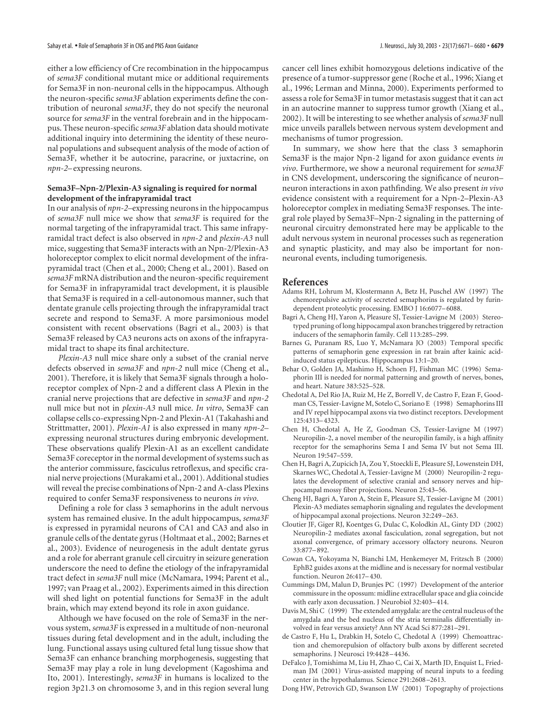either a low efficiency of Cre recombination in the hippocampus of *sema3F* conditional mutant mice or additional requirements for Sema3F in non-neuronal cells in the hippocampus. Although the neuron-specific *sema3F* ablation experiments define the contribution of neuronal *sema3F*, they do not specify the neuronal source for *sema3F* in the ventral forebrain and in the hippocampus. These neuron-specific *sema3F* ablation data should motivate additional inquiry into determining the identity of these neuronal populations and subsequent analysis of the mode of action of Sema3F, whether it be autocrine, paracrine, or juxtacrine, on *npn-2*–expressing neurons.

## **Sema3F–Npn-2/Plexin-A3 signaling is required for normal development of the infrapyramidal tract**

In our analysis of *npn-2–*expressing neurons in the hippocampus of *sema3F* null mice we show that *sema3F* is required for the normal targeting of the infrapyramidal tract. This same infrapyramidal tract defect is also observed in *npn-2* and *plexin-A3* null mice, suggesting that Sema3F interacts with an Npn-2/Plexin-A3 holoreceptor complex to elicit normal development of the infrapyramidal tract (Chen et al., 2000; Cheng et al., 2001). Based on *sema3F* mRNA distribution and the neuron-specific requirement for Sema3F in infrapyramidal tract development, it is plausible that Sema3F is required in a cell-autonomous manner, such that dentate granule cells projecting through the infrapyramidal tract secrete and respond to Sema3F. A more parsimonious model consistent with recent observations (Bagri et al., 2003) is that Sema3F released by CA3 neurons acts on axons of the infrapyramidal tract to shape its final architecture.

*Plexin-A3* null mice share only a subset of the cranial nerve defects observed in *sema3F* and *npn-2* null mice (Cheng et al., 2001). Therefore, it is likely that Sema3F signals through a holoreceptor complex of Npn-2 and a different class A Plexin in the cranial nerve projections that are defective in *sema3F* and *npn-2* null mice but not in *plexin-A3* null mice. *In vitro*, Sema3F can collapse cells co-expressing Npn-2 and Plexin-A1 (Takahashi and Strittmatter, 2001). *Plexin-A1* is also expressed in many *npn-2–* expressing neuronal structures during embryonic development. These observations qualify Plexin-A1 as an excellent candidate Sema3F coreceptor in the normal development of systems such as the anterior commissure, fasciculus retroflexus, and specific cranial nerve projections (Murakami et al., 2001). Additional studies will reveal the precise combinations of Npn-2 and A-class Plexins required to confer Sema3F responsiveness to neurons *in vivo*.

Defining a role for class 3 semaphorins in the adult nervous system has remained elusive. In the adult hippocampus, *sema3F* is expressed in pyramidal neurons of CA1 and CA3 and also in granule cells of the dentate gyrus (Holtmaat et al., 2002; Barnes et al., 2003). Evidence of neurogenesis in the adult dentate gyrus and a role for aberrant granule cell circuitry in seizure generation underscore the need to define the etiology of the infrapyramidal tract defect in *sema3F* null mice (McNamara, 1994; Parent et al., 1997; van Praag et al., 2002). Experiments aimed in this direction will shed light on potential functions for Sema3F in the adult brain, which may extend beyond its role in axon guidance.

Although we have focused on the role of Sema3F in the nervous system, *sema3F* is expressed in a multitude of non-neuronal tissues during fetal development and in the adult, including the lung. Functional assays using cultured fetal lung tissue show that Sema3F can enhance branching morphogenesis, suggesting that Sema3F may play a role in lung development (Kagoshima and Ito, 2001). Interestingly, *sema3F* in humans is localized to the region 3p21.3 on chromosome 3, and in this region several lung

cancer cell lines exhibit homozygous deletions indicative of the presence of a tumor-suppressor gene (Roche et al., 1996; Xiang et al., 1996; Lerman and Minna, 2000). Experiments performed to assess a role for Sema3F in tumor metastasis suggest that it can act in an autocrine manner to suppress tumor growth (Xiang et al., 2002). It will be interesting to see whether analysis of *sema3F* null mice unveils parallels between nervous system development and mechanisms of tumor progression.

In summary, we show here that the class 3 semaphorin Sema3F is the major Npn-2 ligand for axon guidance events *in vivo*. Furthermore, we show a neuronal requirement for *sema3F* in CNS development, underscoring the significance of neuron– neuron interactions in axon pathfinding. We also present *in vivo* evidence consistent with a requirement for a Npn-2–Plexin-A3 holoreceptor complex in mediating Sema3F responses. The integral role played by Sema3F–Npn-2 signaling in the patterning of neuronal circuitry demonstrated here may be applicable to the adult nervous system in neuronal processes such as regeneration and synaptic plasticity, and may also be important for nonneuronal events, including tumorigenesis.

## **References**

- Adams RH, Lohrum M, Klostermann A, Betz H, Puschel AW (1997) The chemorepulsive activity of secreted semaphorins is regulated by furindependent proteolytic processing. EMBO J 16:6077–6088.
- Bagri A, Cheng HJ, Yaron A, Pleasure SJ, Tessier-Lavigne M (2003) Stereotyped pruning of long hippocampal axon branches triggered by retraction inducers of the semaphorin family. Cell 113:285–299.
- Barnes G, Puranam RS, Luo Y, McNamara JO (2003) Temporal specific patterns of semaphorin gene expression in rat brain after kainic acidinduced status epilepticus. Hippocampus 13:1–20.
- Behar O, Golden JA, Mashimo H, Schoen FJ, Fishman MC (1996) Semaphorin III is needed for normal patterning and growth of nerves, bones, and heart. Nature 383:525–528.
- Chedotal A, Del Rio JA, Ruiz M, He Z, Borrell V, de Castro F, Ezan F, Goodman CS, Tessier-Lavigne M, Sotelo C, Soriano E (1998) Semaphorins III and IV repel hippocampal axons via two distinct receptors. Development 125:4313–4323.
- Chen H, Chedotal A, He Z, Goodman CS, Tessier-Lavigne M (1997) Neuropilin-2, a novel member of the neuropilin family, is a high affinity receptor for the semaphorins Sema I and Sema IV but not Sema III. Neuron 19:547–559.
- Chen H, Bagri A, Zupicich JA, Zou Y, Stoeckli E, Pleasure SJ, Lowenstein DH, Skarnes WC, Chedotal A, Tessier-Lavigne M (2000) Neuropilin-2 regulates the development of selective cranial and sensory nerves and hippocampal mossy fiber projections. Neuron 25:43–56.
- Cheng HJ, Bagri A, Yaron A, Stein E, Pleasure SJ, Tessier-Lavigne M (2001) Plexin-A3 mediates semaphorin signaling and regulates the development of hippocampal axonal projections. Neuron 32:249–263.
- Cloutier JF, Giger RJ, Koentges G, Dulac C, Kolodkin AL, Ginty DD (2002) Neuropilin-2 mediates axonal fasciculation, zonal segregation, but not axonal convergence, of primary accessory olfactory neurons. Neuron 33:877–892.
- Cowan CA, Yokoyama N, Bianchi LM, Henkemeyer M, Fritzsch B (2000) EphB2 guides axons at the midline and is necessary for normal vestibular function. Neuron 26:417–430.
- Cummings DM, Malun D, Brunjes PC (1997) Development of the anterior commissure in the opossum: midline extracellular space and glia coincide with early axon decussation. J Neurobiol 32:403–414.
- Davis M, Shi C (1999) The extended amygdala: are the central nucleus of the amygdala and the bed nucleus of the stria terminalis differentially involved in fear versus anxiety? Ann NY Acad Sci 877:281–291.
- de Castro F, Hu L, Drabkin H, Sotelo C, Chedotal A (1999) Chemoattraction and chemorepulsion of olfactory bulb axons by different secreted semaphorins. J Neurosci 19:4428–4436.
- DeFalco J, Tomishima M, Liu H, Zhao C, Cai X, Marth JD, Enquist L, Friedman JM (2001) Virus-assisted mapping of neural inputs to a feeding center in the hypothalamus. Science 291:2608–2613.
- Dong HW, Petrovich GD, Swanson LW (2001) Topography of projections